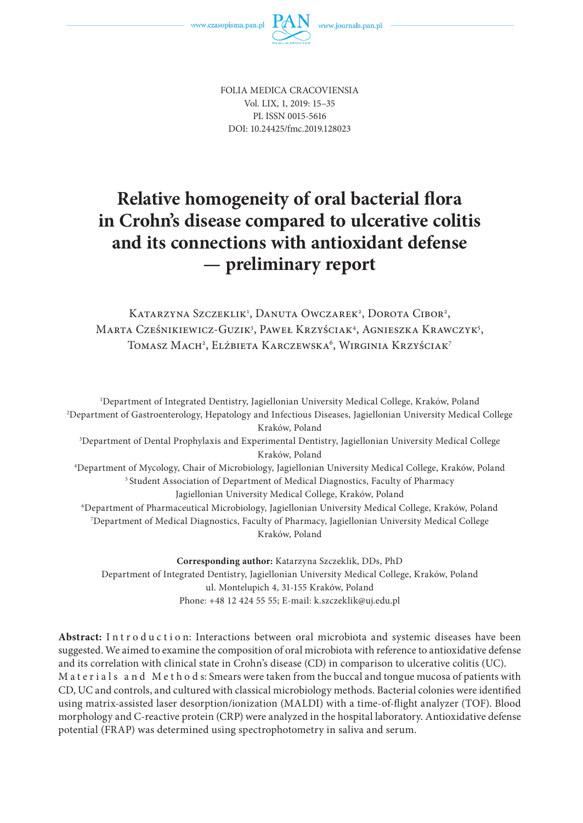

FOLIA MEDICA CRACOVIENSIA Vol. LIX, 1, 2019: 15–35 PL ISSN 0015-5616 DOI: 10.24425/fmc.2019.128023

# **Relative homogeneity of oral bacterial flora in Crohn's disease compared to ulcerative colitis and its connections with antioxidant defense — preliminary report**

Katarzyna Szczeklik<sup>1</sup>, Danuta Owczarek<sup>2</sup>, Dorota Cibor<sup>2</sup>, Marta Cześnikiewicz-Guzik<sup>3</sup>, Paweł Krzyściak<sup>4</sup>, Agnieszka Krawczyk<sup>5</sup>, Tomasz Mach<sup>2</sup>, Elżbieta Karczewska<sup>6</sup>, Wirginia Krzyściak<sup>7</sup>

1 Department of Integrated Dentistry, Jagiellonian University Medical College, Kraków, Poland 2 Department of Gastroenterology, Hepatology and Infectious Diseases, Jagiellonian University Medical College Kraków, Poland 3 Department of Dental Prophylaxis and Experimental Dentistry, Jagiellonian University Medical College Kraków, Poland 4 Department of Mycology, Chair of Microbiology, Jagiellonian University Medical College, Kraków, Poland <sup>5</sup> Student Association of Department of Medical Diagnostics, Faculty of Pharmacy Jagiellonian University Medical College, Kraków, Poland 6 Department of Pharmaceutical Microbiology, Jagiellonian University Medical College, Kraków, Poland 7 Department of Medical Diagnostics, Faculty of Pharmacy, Jagiellonian University Medical College Kraków, Poland

**Corresponding author:** Katarzyna Szczeklik, DDs, PhD Department of Integrated Dentistry, Jagiellonian University Medical College, Kraków, Poland ul. Montelupich 4, 31-155 Kraków, Poland Phone: +48 12 424 55 55; E-mail: k.szczeklik@uj.edu.pl

Abstract: Introduction: Interactions between oral microbiota and systemic diseases have been suggested. We aimed to examine the composition of oral microbiota with reference to antioxidative defense and its correlation with clinical state in Crohn's disease (CD) in comparison to ulcerative colitis (UC). M at erials and Methods: Smears were taken from the buccal and tongue mucosa of patients with CD, UC and controls, and cultured with classical microbiology methods. Bacterial colonies were identified using matrix-assisted laser desorption/ionization (MALDI) with a time-of-flight analyzer (TOF). Blood morphology and C-reactive protein (CRP) were analyzed in the hospital laboratory. Antioxidative defense potential (FRAP) was determined using spectrophotometry in saliva and serum.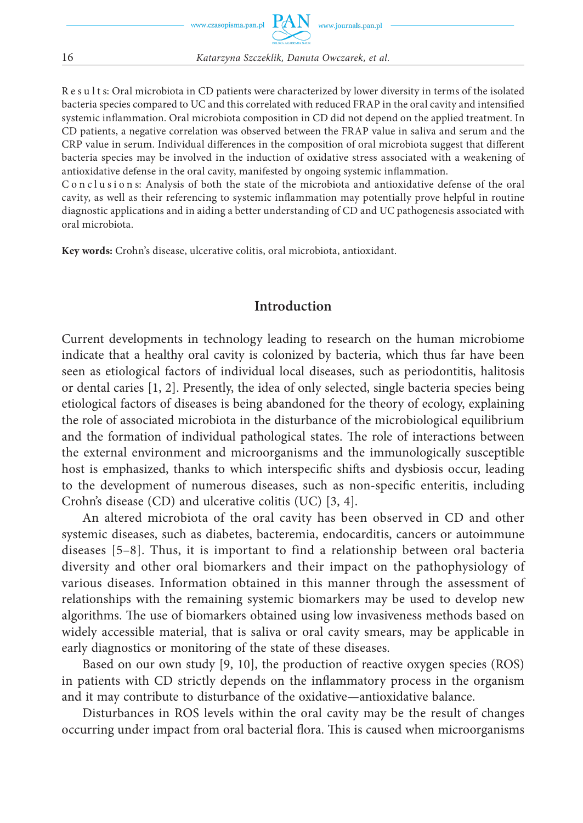Results: Oral microbiota in CD patients were characterized by lower diversity in terms of the isolated bacteria species compared to UC and this correlated with reduced FRAP in the oral cavity and intensified systemic inflammation. Oral microbiota composition in CD did not depend on the applied treatment. In CD patients, a negative correlation was observed between the FRAP value in saliva and serum and the CRP value in serum. Individual differences in the composition of oral microbiota suggest that different bacteria species may be involved in the induction of oxidative stress associated with a weakening of antioxidative defense in the oral cavity, manifested by ongoing systemic inflammation.

C o n c l u s i o n s: Analysis of both the state of the microbiota and antioxidative defense of the oral cavity, as well as their referencing to systemic inflammation may potentially prove helpful in routine diagnostic applications and in aiding a better understanding of CD and UC pathogenesis associated with oral microbiota.

**Key words:** Crohn's disease, ulcerative colitis, oral microbiota, antioxidant.

#### **Introduction**

Current developments in technology leading to research on the human microbiome indicate that a healthy oral cavity is colonized by bacteria, which thus far have been seen as etiological factors of individual local diseases, such as periodontitis, halitosis or dental caries [1, 2]. Presently, the idea of only selected, single bacteria species being etiological factors of diseases is being abandoned for the theory of ecology, explaining the role of associated microbiota in the disturbance of the microbiological equilibrium and the formation of individual pathological states. The role of interactions between the external environment and microorganisms and the immunologically susceptible host is emphasized, thanks to which interspecific shifts and dysbiosis occur, leading to the development of numerous diseases, such as non-specific enteritis, including Crohn's disease (CD) and ulcerative colitis (UC) [3, 4].

An altered microbiota of the oral cavity has been observed in CD and other systemic diseases, such as diabetes, bacteremia, endocarditis, cancers or autoimmune diseases [5–8]. Thus, it is important to find a relationship between oral bacteria diversity and other oral biomarkers and their impact on the pathophysiology of various diseases. Information obtained in this manner through the assessment of relationships with the remaining systemic biomarkers may be used to develop new algorithms. The use of biomarkers obtained using low invasiveness methods based on widely accessible material, that is saliva or oral cavity smears, may be applicable in early diagnostics or monitoring of the state of these diseases.

Based on our own study [9, 10], the production of reactive oxygen species (ROS) in patients with CD strictly depends on the inflammatory process in the organism and it may contribute to disturbance of the oxidative—antioxidative balance.

Disturbances in ROS levels within the oral cavity may be the result of changes occurring under impact from oral bacterial flora. This is caused when microorganisms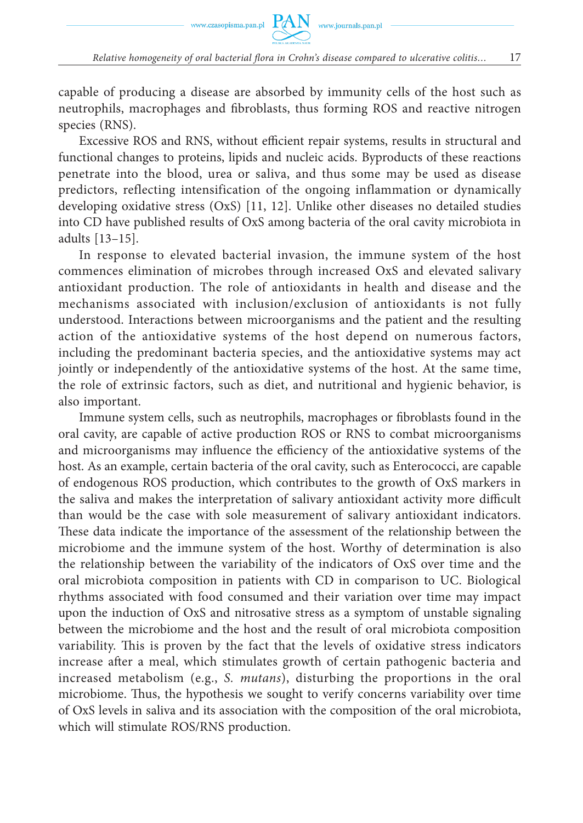capable of producing a disease are absorbed by immunity cells of the host such as neutrophils, macrophages and fibroblasts, thus forming ROS and reactive nitrogen species (RNS).

Excessive ROS and RNS, without efficient repair systems, results in structural and functional changes to proteins, lipids and nucleic acids. Byproducts of these reactions penetrate into the blood, urea or saliva, and thus some may be used as disease predictors, reflecting intensification of the ongoing inflammation or dynamically developing oxidative stress (OxS) [11, 12]. Unlike other diseases no detailed studies into CD have published results of OxS among bacteria of the oral cavity microbiota in adults [13–15].

In response to elevated bacterial invasion, the immune system of the host commences elimination of microbes through increased OxS and elevated salivary antioxidant production. The role of antioxidants in health and disease and the mechanisms associated with inclusion/exclusion of antioxidants is not fully understood. Interactions between microorganisms and the patient and the resulting action of the antioxidative systems of the host depend on numerous factors, including the predominant bacteria species, and the antioxidative systems may act jointly or independently of the antioxidative systems of the host. At the same time, the role of extrinsic factors, such as diet, and nutritional and hygienic behavior, is also important.

Immune system cells, such as neutrophils, macrophages or fibroblasts found in the oral cavity, are capable of active production ROS or RNS to combat microorganisms and microorganisms may influence the efficiency of the antioxidative systems of the host. As an example, certain bacteria of the oral cavity, such as Enterococci, are capable of endogenous ROS production, which contributes to the growth of OxS markers in the saliva and makes the interpretation of salivary antioxidant activity more difficult than would be the case with sole measurement of salivary antioxidant indicators. These data indicate the importance of the assessment of the relationship between the microbiome and the immune system of the host. Worthy of determination is also the relationship between the variability of the indicators of OxS over time and the oral microbiota composition in patients with CD in comparison to UC. Biological rhythms associated with food consumed and their variation over time may impact upon the induction of OxS and nitrosative stress as a symptom of unstable signaling between the microbiome and the host and the result of oral microbiota composition variability. This is proven by the fact that the levels of oxidative stress indicators increase after a meal, which stimulates growth of certain pathogenic bacteria and increased metabolism (e.g., *S. mutans*), disturbing the proportions in the oral microbiome. Thus, the hypothesis we sought to verify concerns variability over time of OxS levels in saliva and its association with the composition of the oral microbiota, which will stimulate ROS/RNS production.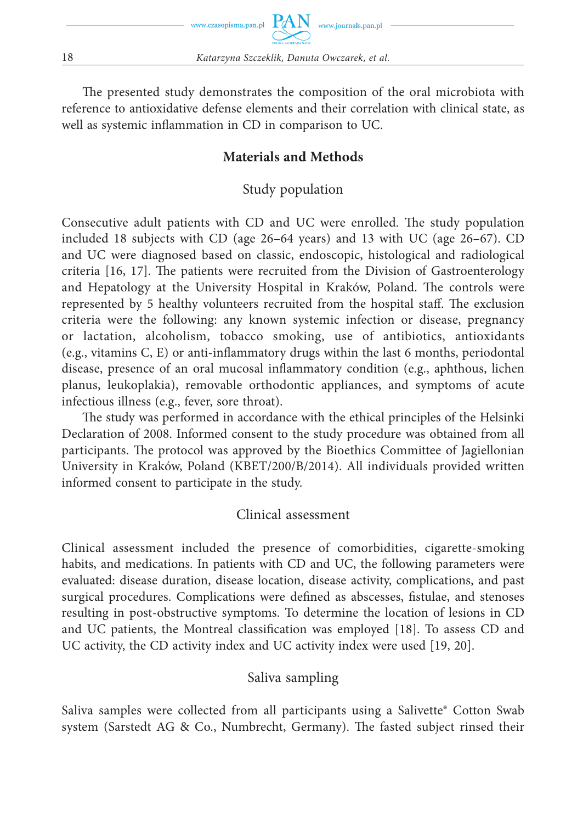

The presented study demonstrates the composition of the oral microbiota with reference to antioxidative defense elements and their correlation with clinical state, as well as systemic inflammation in CD in comparison to UC.

#### **Materials and Methods**

#### Study population

Consecutive adult patients with CD and UC were enrolled. The study population included 18 subjects with CD (age 26–64 years) and 13 with UC (age 26–67). CD and UC were diagnosed based on classic, endoscopic, histological and radiological criteria  $[16, 17]$ . The patients were recruited from the Division of Gastroenterology and Hepatology at the University Hospital in Kraków, Poland. The controls were represented by 5 healthy volunteers recruited from the hospital staff. The exclusion criteria were the following: any known systemic infection or disease, pregnancy or lactation, alcoholism, tobacco smoking, use of antibiotics, antioxidants (e.g., vitamins  $C$ , E) or anti-inflammatory drugs within the last 6 months, periodontal disease, presence of an oral mucosal inflammatory condition (e.g., aphthous, lichen planus, leukoplakia), removable orthodontic appliances, and symptoms of acute infectious illness (e.g., fever, sore throat).

The study was performed in accordance with the ethical principles of the Helsinki Declaration of 2008. Informed consent to the study procedure was obtained from all participants. The protocol was approved by the Bioethics Committee of Jagiellonian University in Kraków, Poland (KBET/200/B/2014). All individuals provided written informed consent to participate in the study.

# Clinical assessment

Clinical assessment included the presence of comorbidities, cigarette-smoking habits, and medications. In patients with CD and UC, the following parameters were evaluated: disease duration, disease location, disease activity, complications, and past surgical procedures. Complications were defined as abscesses, fistulae, and stenoses resulting in post-obstructive symptoms. To determine the location of lesions in CD and UC patients, the Montreal classification was employed [18]. To assess CD and UC activity, the CD activity index and UC activity index were used [19, 20].

#### Saliva sampling

Saliva samples were collected from all participants using a Salivette® Cotton Swab system (Sarstedt AG & Co., Numbrecht, Germany). The fasted subject rinsed their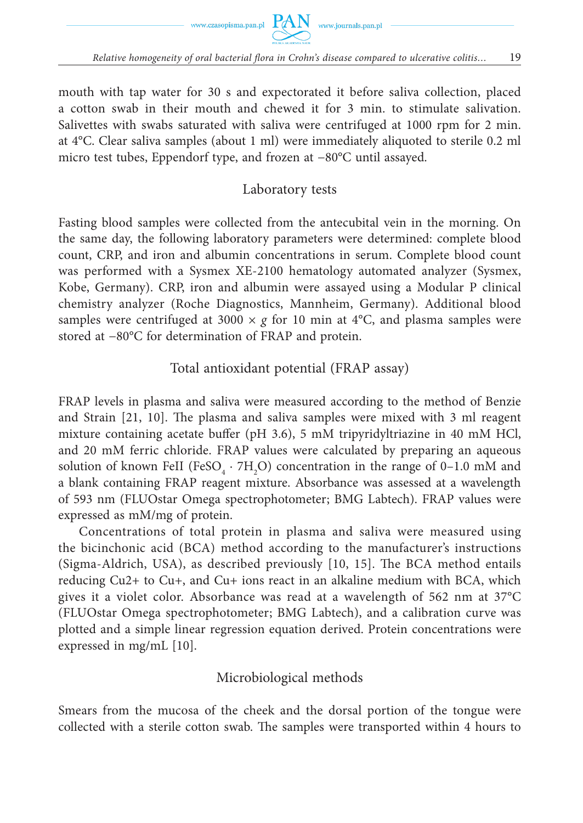

mouth with tap water for 30 s and expectorated it before saliva collection, placed a cotton swab in their mouth and chewed it for 3 min. to stimulate salivation. Salivettes with swabs saturated with saliva were centrifuged at 1000 rpm for 2 min. at 4°C. Clear saliva samples (about 1 ml) were immediately aliquoted to sterile 0.2 ml micro test tubes, Eppendorf type, and frozen at −80°C until assayed.

#### Laboratory tests

Fasting blood samples were collected from the antecubital vein in the morning. On the same day, the following laboratory parameters were determined: complete blood count, CRP, and iron and albumin concentrations in serum. Complete blood count was performed with a Sysmex XE-2100 hematology automated analyzer (Sysmex, Kobe, Germany). CRP, iron and albumin were assayed using a Modular P clinical chemistry analyzer (Roche Diagnostics, Mannheim, Germany). Additional blood samples were centrifuged at 3000  $\times g$  for 10 min at 4<sup>o</sup>C, and plasma samples were stored at −80°C for determination of FRAP and protein.

Total antioxidant potential (FRAP assay)

FRAP levels in plasma and saliva were measured according to the method of Benzie and Strain  $[21, 10]$ . The plasma and saliva samples were mixed with 3 ml reagent mixture containing acetate buffer (pH 3.6), 5 mM tripyridyltriazine in 40 mM HCl, and 20 mM ferric chloride. FRAP values were calculated by preparing an aqueous solution of known FeII (FeSO<sub>4</sub>  $\cdot$  7H<sub>2</sub>O) concentration in the range of 0–1.0 mM and a blank containing FRAP reagent mixture. Absorbance was assessed at a wavelength of 593 nm (FLUOstar Omega spectrophotometer; BMG Labtech). FRAP values were expressed as mM/mg of protein.

Concentrations of total protein in plasma and saliva were measured using the bicinchonic acid (BCA) method according to the manufacturer's instructions (Sigma-Aldrich, USA), as described previously  $[10, 15]$ . The BCA method entails reducing Cu2+ to Cu+, and Cu+ ions react in an alkaline medium with BCA, which gives it a violet color. Absorbance was read at a wavelength of 562 nm at 37°C (FLUOstar Omega spectrophotometer; BMG Labtech), and a calibration curve was plotted and a simple linear regression equation derived. Protein concentrations were expressed in mg/mL [10].

#### Microbiological methods

Smears from the mucosa of the cheek and the dorsal portion of the tongue were collected with a sterile cotton swab. The samples were transported within 4 hours to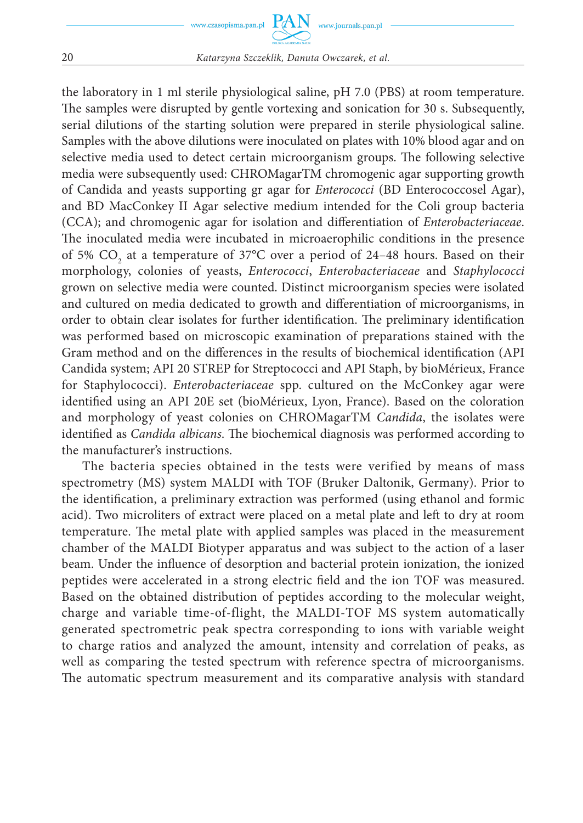the laboratory in 1 ml sterile physiological saline, pH 7.0 (PBS) at room temperature. The samples were disrupted by gentle vortexing and sonication for 30 s. Subsequently, serial dilutions of the starting solution were prepared in sterile physiological saline. Samples with the above dilutions were inoculated on plates with 10% blood agar and on selective media used to detect certain microorganism groups. The following selective media were subsequently used: CHROMagarTM chromogenic agar supporting growth of Candida and yeasts supporting gr agar for *Enterococci* (BD Enterococcosel Agar), and BD MacConkey II Agar selective medium intended for the Coli group bacteria (CCA); and chromogenic agar for isolation and differentiation of *Enterobacteriaceae*. The inoculated media were incubated in microaerophilic conditions in the presence of 5%  $\text{CO}_2$  at a temperature of 37°C over a period of 24–48 hours. Based on their morphology, colonies of yeasts, *Enterococci*, *Enterobacteriaceae* and *Staphylococci* grown on selective media were counted. Distinct microorganism species were isolated and cultured on media dedicated to growth and differentiation of microorganisms, in order to obtain clear isolates for further identification. The preliminary identification was performed based on microscopic examination of preparations stained with the Gram method and on the differences in the results of biochemical identification (API) Candida system; API 20 STREP for Streptococci and API Staph, by bioMérieux, France for Staphylococci). *Enterobacteriaceae* spp. cultured on the McConkey agar were identified using an API 20E set (bioMérieux, Lyon, France). Based on the coloration and morphology of yeast colonies on CHROMagarTM *Candida*, the isolates were identified as *Candida albicans*. The biochemical diagnosis was performed according to the manufacturer's instructions.

The bacteria species obtained in the tests were verified by means of mass spectrometry (MS) system MALDI with TOF (Bruker Daltonik, Germany). Prior to the identification, a preliminary extraction was performed (using ethanol and formic acid). Two microliters of extract were placed on a metal plate and left to dry at room temperature. The metal plate with applied samples was placed in the measurement chamber of the MALDI Biotyper apparatus and was subject to the action of a laser beam. Under the influence of desorption and bacterial protein ionization, the ionized peptides were accelerated in a strong electric field and the ion TOF was measured. Based on the obtained distribution of peptides according to the molecular weight, charge and variable time-of-flight, the MALDI-TOF MS system automatically generated spectrometric peak spectra corresponding to ions with variable weight to charge ratios and analyzed the amount, intensity and correlation of peaks, as well as comparing the tested spectrum with reference spectra of microorganisms. The automatic spectrum measurement and its comparative analysis with standard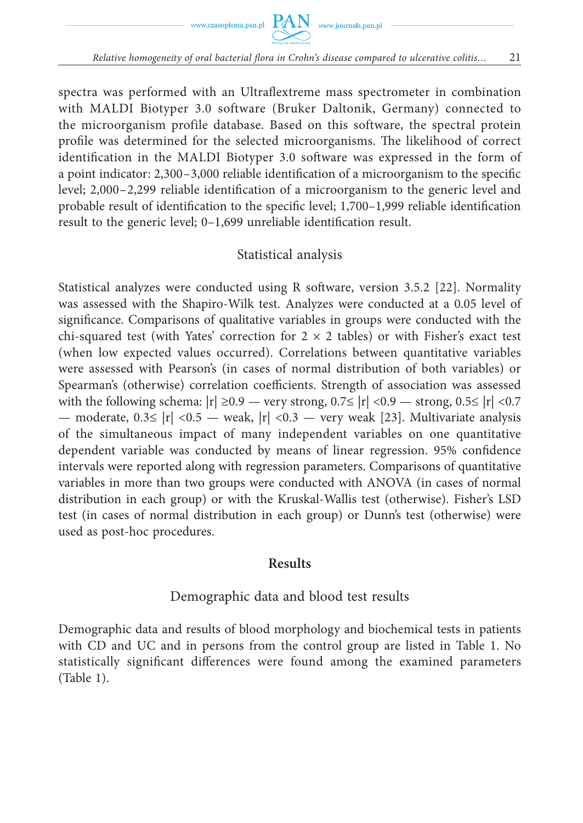

spectra was performed with an Ultraflextreme mass spectrometer in combination with MALDI Biotyper 3.0 software (Bruker Daltonik, Germany) connected to the microorganism profile database. Based on this software, the spectral protein profile was determined for the selected microorganisms. The likelihood of correct identification in the MALDI Biotyper 3.0 software was expressed in the form of a point indicator:  $2,300 - 3,000$  reliable identification of a microorganism to the specific level; 2,000-2,299 reliable identification of a microorganism to the generic level and probable result of identification to the specific level; 1,700–1,999 reliable identification result to the generic level;  $0-1,699$  unreliable identification result.

#### Statistical analysis

Statistical analyzes were conducted using R software, version  $3.5.2$  [22]. Normality was assessed with the Shapiro-Wilk test. Analyzes were conducted at a 0.05 level of significance. Comparisons of qualitative variables in groups were conducted with the chi-squared test (with Yates' correction for  $2 \times 2$  tables) or with Fisher's exact test (when low expected values occurred). Correlations between quantitative variables were assessed with Pearson's (in cases of normal distribution of both variables) or Spearman's (otherwise) correlation coefficients. Strength of association was assessed with the following schema:  $|r| \ge 0.9$  — very strong,  $0.7 \le |r| < 0.9$  — strong,  $0.5 \le |r| < 0.7$ — moderate,  $0.3 \le |\mathbf{r}| < 0.5$  — weak,  $|\mathbf{r}| < 0.3$  — very weak [23]. Multivariate analysis of the simultaneous impact of many independent variables on one quantitative dependent variable was conducted by means of linear regression. 95% confidence intervals were reported along with regression parameters. Comparisons of quantitative variables in more than two groups were conducted with ANOVA (in cases of normal distribution in each group) or with the Kruskal-Wallis test (otherwise). Fisher's LSD test (in cases of normal distribution in each group) or Dunn's test (otherwise) were used as post-hoc procedures.

#### **Results**

# Demographic data and blood test results

Demographic data and results of blood morphology and biochemical tests in patients with CD and UC and in persons from the control group are listed in Table 1. No statistically significant differences were found among the examined parameters (Table 1).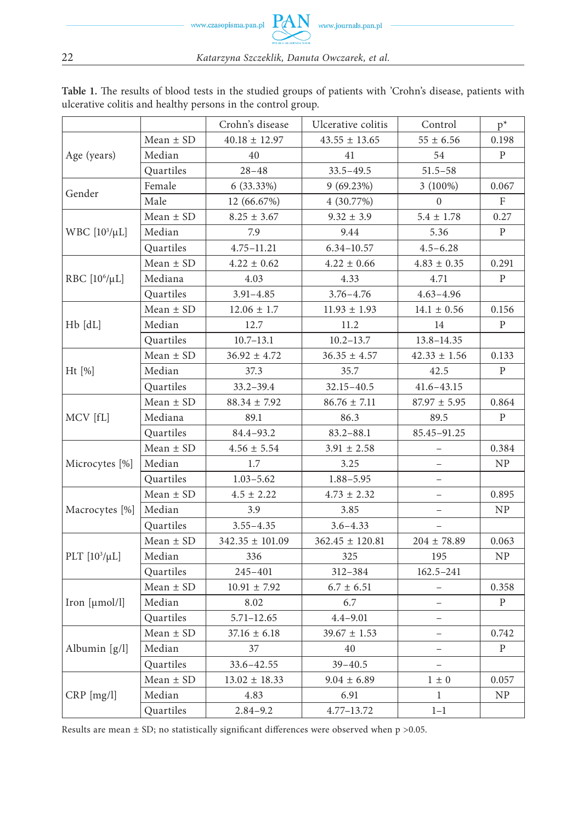|                           |               | Crohn's disease                                                                                                                                                                                                                                                                                                     | Ulcerative colitis                                                                                                                                                                                                                                                                                                                                                                                                                                                                                                                                                                                                                                                                                                                                                                                                                                    | Control        | $p^*$        |
|---------------------------|---------------|---------------------------------------------------------------------------------------------------------------------------------------------------------------------------------------------------------------------------------------------------------------------------------------------------------------------|-------------------------------------------------------------------------------------------------------------------------------------------------------------------------------------------------------------------------------------------------------------------------------------------------------------------------------------------------------------------------------------------------------------------------------------------------------------------------------------------------------------------------------------------------------------------------------------------------------------------------------------------------------------------------------------------------------------------------------------------------------------------------------------------------------------------------------------------------------|----------------|--------------|
|                           | Mean $\pm$ SD | $40.18 \pm 12.97$                                                                                                                                                                                                                                                                                                   | $43.55 \pm 13.65$                                                                                                                                                                                                                                                                                                                                                                                                                                                                                                                                                                                                                                                                                                                                                                                                                                     | $55 \pm 6.56$  | 0.198        |
| Age (years)               | Median        | 40                                                                                                                                                                                                                                                                                                                  | 41                                                                                                                                                                                                                                                                                                                                                                                                                                                                                                                                                                                                                                                                                                                                                                                                                                                    | 54             | P            |
|                           | Quartiles     | $28 - 48$                                                                                                                                                                                                                                                                                                           | $33.5 - 49.5$                                                                                                                                                                                                                                                                                                                                                                                                                                                                                                                                                                                                                                                                                                                                                                                                                                         | $51.5 - 58$    |              |
|                           | Female        | $6(33.33\%)$                                                                                                                                                                                                                                                                                                        | 9(69.23%)                                                                                                                                                                                                                                                                                                                                                                                                                                                                                                                                                                                                                                                                                                                                                                                                                                             | $3(100\%)$     | 0.067        |
| Gender                    | Male          | 12 (66.67%)                                                                                                                                                                                                                                                                                                         | 4 (30.77%)                                                                                                                                                                                                                                                                                                                                                                                                                                                                                                                                                                                                                                                                                                                                                                                                                                            | $\Omega$       | $\mathbf{F}$ |
|                           | Mean $\pm$ SD | $8.25 \pm 3.67$                                                                                                                                                                                                                                                                                                     | $9.32 \pm 3.9$                                                                                                                                                                                                                                                                                                                                                                                                                                                                                                                                                                                                                                                                                                                                                                                                                                        | $5.4 \pm 1.78$ | 0.27         |
| WBC $[10^3/\mu L]$        | Median        | 7.9                                                                                                                                                                                                                                                                                                                 | 9.44                                                                                                                                                                                                                                                                                                                                                                                                                                                                                                                                                                                                                                                                                                                                                                                                                                                  | 5.36           | $\mathbf{P}$ |
|                           | Quartiles     | $4.75 - 11.21$                                                                                                                                                                                                                                                                                                      | $6.34 - 10.57$<br>$4.5 - 6.28$<br>$4.22 \pm 0.66$<br>$4.83 \pm 0.35$<br>4.33<br>4.71<br>$3.76 - 4.76$<br>$4.63 - 4.96$<br>$11.93 \pm 1.93$<br>$14.1 \pm 0.56$<br>11.2<br>14<br>$10.2 - 13.7$<br>13.8-14.35<br>$42.33 \pm 1.56$<br>$36.35 \pm 4.57$<br>35.7<br>42.5<br>$32.15 - 40.5$<br>$41.6 - 43.15$<br>$86.76 \pm 7.11$<br>$87.97 \pm 5.95$<br>86.3<br>89.5<br>$83.2 - 88.1$<br>85.45-91.25<br>$3.91 \pm 2.58$<br>3.25<br>$\equiv$<br>$1.88 - 5.95$<br>$4.73 \pm 2.32$<br>3.85<br>$\overline{\phantom{0}}$<br>$3.6 - 4.33$<br>$362.45 \pm 120.81$<br>$204 \pm 78.89$<br>325<br>195<br>$162.5 - 241$<br>312-384<br>$6.7 \pm 6.51$<br>$\overline{\phantom{0}}$<br>6.7<br>$\qquad \qquad -$<br>$4.4 - 9.01$<br>$\equiv$<br>$39.67 \pm 1.53$<br>$\qquad \qquad -$<br>40<br>—<br>$39 - 40.5$<br>$\equiv$<br>$9.04 \pm 6.89$<br>$1\,\pm\,0$<br>6.91<br>1 |                |              |
|                           | $Mean \pm SD$ | $4.22 \pm 0.62$                                                                                                                                                                                                                                                                                                     |                                                                                                                                                                                                                                                                                                                                                                                                                                                                                                                                                                                                                                                                                                                                                                                                                                                       |                | 0.291        |
| RBC [10 <sup>6</sup> /µL] | Mediana       | 4.03                                                                                                                                                                                                                                                                                                                |                                                                                                                                                                                                                                                                                                                                                                                                                                                                                                                                                                                                                                                                                                                                                                                                                                                       |                | P            |
|                           | Quartiles     | $3.91 - 4.85$                                                                                                                                                                                                                                                                                                       |                                                                                                                                                                                                                                                                                                                                                                                                                                                                                                                                                                                                                                                                                                                                                                                                                                                       |                |              |
|                           | Mean $\pm$ SD | $12.06 \pm 1.7$                                                                                                                                                                                                                                                                                                     |                                                                                                                                                                                                                                                                                                                                                                                                                                                                                                                                                                                                                                                                                                                                                                                                                                                       | $1 - 1$        | 0.156        |
| $Hb$ $dL$                 | Median        | 12.7                                                                                                                                                                                                                                                                                                                |                                                                                                                                                                                                                                                                                                                                                                                                                                                                                                                                                                                                                                                                                                                                                                                                                                                       |                | P            |
|                           | Quartiles     | $10.7 - 13.1$                                                                                                                                                                                                                                                                                                       |                                                                                                                                                                                                                                                                                                                                                                                                                                                                                                                                                                                                                                                                                                                                                                                                                                                       |                |              |
|                           | Mean $\pm$ SD | $36.92 \pm 4.72$                                                                                                                                                                                                                                                                                                    |                                                                                                                                                                                                                                                                                                                                                                                                                                                                                                                                                                                                                                                                                                                                                                                                                                                       |                | 0.133        |
| $Ht$ [%]                  | Median        | 37.3<br>$33.2 - 39.4$<br>$88.34 \pm 7.92$<br>89.1<br>84.4-93.2<br>$4.56 \pm 5.54$<br>1.7<br>$1.03 - 5.62$<br>$4.5 \pm 2.22$<br>3.9<br>$3.55 - 4.35$<br>$342.35 \pm 101.09$<br>336<br>245-401<br>$10.91 \pm 7.92$<br>8.02<br>$5.71 - 12.65$<br>$37.16 \pm 6.18$<br>37<br>$33.6 - 42.55$<br>$13.02 \pm 18.33$<br>4.83 |                                                                                                                                                                                                                                                                                                                                                                                                                                                                                                                                                                                                                                                                                                                                                                                                                                                       |                | P            |
|                           | Quartiles     |                                                                                                                                                                                                                                                                                                                     |                                                                                                                                                                                                                                                                                                                                                                                                                                                                                                                                                                                                                                                                                                                                                                                                                                                       |                |              |
|                           | Mean $\pm$ SD |                                                                                                                                                                                                                                                                                                                     |                                                                                                                                                                                                                                                                                                                                                                                                                                                                                                                                                                                                                                                                                                                                                                                                                                                       |                | 0.864        |
| MCV [fL]                  | Mediana       |                                                                                                                                                                                                                                                                                                                     |                                                                                                                                                                                                                                                                                                                                                                                                                                                                                                                                                                                                                                                                                                                                                                                                                                                       |                | P            |
|                           | Quartiles     |                                                                                                                                                                                                                                                                                                                     | 4.77-13.72                                                                                                                                                                                                                                                                                                                                                                                                                                                                                                                                                                                                                                                                                                                                                                                                                                            |                |              |
|                           | Mean $\pm$ SD |                                                                                                                                                                                                                                                                                                                     |                                                                                                                                                                                                                                                                                                                                                                                                                                                                                                                                                                                                                                                                                                                                                                                                                                                       |                | 0.384        |
| Microcytes [%]            | Median        |                                                                                                                                                                                                                                                                                                                     |                                                                                                                                                                                                                                                                                                                                                                                                                                                                                                                                                                                                                                                                                                                                                                                                                                                       |                | NP           |
|                           | Quartiles     |                                                                                                                                                                                                                                                                                                                     |                                                                                                                                                                                                                                                                                                                                                                                                                                                                                                                                                                                                                                                                                                                                                                                                                                                       |                |              |
|                           | Mean $\pm$ SD |                                                                                                                                                                                                                                                                                                                     |                                                                                                                                                                                                                                                                                                                                                                                                                                                                                                                                                                                                                                                                                                                                                                                                                                                       |                | 0.895        |
| Macrocytes [%]            | Median        |                                                                                                                                                                                                                                                                                                                     |                                                                                                                                                                                                                                                                                                                                                                                                                                                                                                                                                                                                                                                                                                                                                                                                                                                       |                | NP           |
|                           | Quartiles     |                                                                                                                                                                                                                                                                                                                     |                                                                                                                                                                                                                                                                                                                                                                                                                                                                                                                                                                                                                                                                                                                                                                                                                                                       |                |              |
|                           | Mean $\pm$ SD |                                                                                                                                                                                                                                                                                                                     |                                                                                                                                                                                                                                                                                                                                                                                                                                                                                                                                                                                                                                                                                                                                                                                                                                                       |                | 0.063        |
| PLT $[10^3/\mu L]$        | Median        |                                                                                                                                                                                                                                                                                                                     |                                                                                                                                                                                                                                                                                                                                                                                                                                                                                                                                                                                                                                                                                                                                                                                                                                                       |                | NP           |
|                           | Quartiles     |                                                                                                                                                                                                                                                                                                                     |                                                                                                                                                                                                                                                                                                                                                                                                                                                                                                                                                                                                                                                                                                                                                                                                                                                       |                |              |
|                           | Mean $\pm$ SD |                                                                                                                                                                                                                                                                                                                     |                                                                                                                                                                                                                                                                                                                                                                                                                                                                                                                                                                                                                                                                                                                                                                                                                                                       |                | 0.358        |
| Iron [µmol/l]             | Median        |                                                                                                                                                                                                                                                                                                                     |                                                                                                                                                                                                                                                                                                                                                                                                                                                                                                                                                                                                                                                                                                                                                                                                                                                       |                | P            |
|                           | Quartiles     |                                                                                                                                                                                                                                                                                                                     |                                                                                                                                                                                                                                                                                                                                                                                                                                                                                                                                                                                                                                                                                                                                                                                                                                                       |                |              |
|                           | Mean $\pm$ SD |                                                                                                                                                                                                                                                                                                                     |                                                                                                                                                                                                                                                                                                                                                                                                                                                                                                                                                                                                                                                                                                                                                                                                                                                       |                | 0.742        |
| Albumin [g/l]             | Median        |                                                                                                                                                                                                                                                                                                                     |                                                                                                                                                                                                                                                                                                                                                                                                                                                                                                                                                                                                                                                                                                                                                                                                                                                       |                | P            |
|                           | Quartiles     |                                                                                                                                                                                                                                                                                                                     |                                                                                                                                                                                                                                                                                                                                                                                                                                                                                                                                                                                                                                                                                                                                                                                                                                                       |                |              |
|                           | Mean $\pm$ SD |                                                                                                                                                                                                                                                                                                                     |                                                                                                                                                                                                                                                                                                                                                                                                                                                                                                                                                                                                                                                                                                                                                                                                                                                       |                | 0.057        |
| CRP [mg/l]                | Median        |                                                                                                                                                                                                                                                                                                                     |                                                                                                                                                                                                                                                                                                                                                                                                                                                                                                                                                                                                                                                                                                                                                                                                                                                       |                | NP           |
|                           | Quartiles     | $2.84 - 9.2$                                                                                                                                                                                                                                                                                                        |                                                                                                                                                                                                                                                                                                                                                                                                                                                                                                                                                                                                                                                                                                                                                                                                                                                       |                |              |

Table 1. The results of blood tests in the studied groups of patients with 'Crohn's disease, patients with ulcerative colitis and healthy persons in the control group.

Results are mean  $\pm$  SD; no statistically significant differences were observed when p >0.05.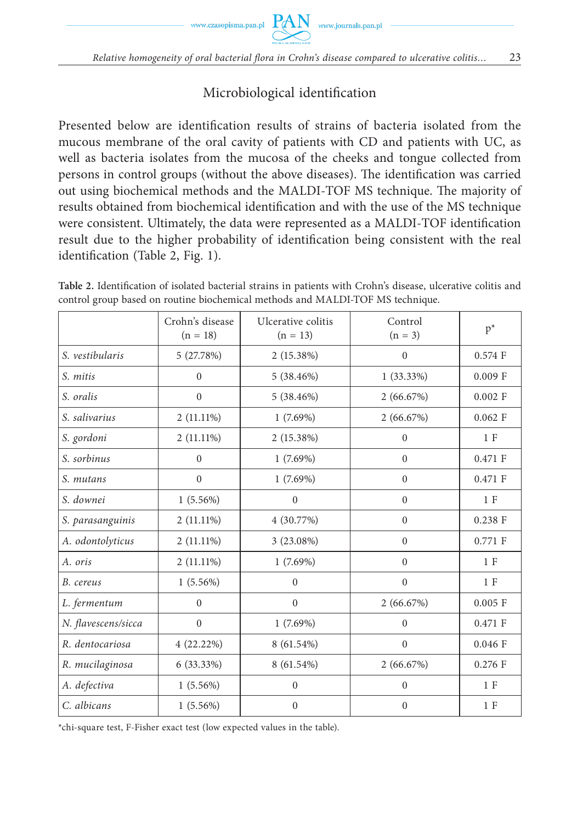# Microbiological identification

Presented below are identification results of strains of bacteria isolated from the mucous membrane of the oral cavity of patients with CD and patients with UC, as well as bacteria isolates from the mucosa of the cheeks and tongue collected from persons in control groups (without the above diseases). The identification was carried out using biochemical methods and the MALDI-TOF MS technique. The majority of results obtained from biochemical identification and with the use of the MS technique were consistent. Ultimately, the data were represented as a MALDI-TOF identification result due to the higher probability of identification being consistent with the real identification (Table 2, Fig. 1).

|                     | Crohn's disease<br>$(n = 18)$ | Ulcerative colitis<br>$(n = 13)$ | Control<br>$(n = 3)$ | $p^*$     |
|---------------------|-------------------------------|----------------------------------|----------------------|-----------|
| S. vestibularis     | 5 (27.78%)                    | 2(15.38%)                        | $\Omega$             | 0.574 F   |
| S. mitis            | $\mathbf{0}$                  | 5(38.46%)                        | $1(33.33\%)$         | $0.009$ F |
| S. oralis           | $\mathbf{0}$                  | 5(38.46%)                        | 2(66.67%)            | $0.002$ F |
| S. salivarius       | 2 (11.11%)                    | 1(7.69%)                         | 2(66.67%)            | $0.062$ F |
| S. gordoni          | $2(11.11\%)$                  | 2 (15.38%)                       | $\Omega$             | 1 F       |
| S. sorbinus         | $\theta$                      | $1(7.69\%)$                      | $\Omega$             | $0.471$ F |
| S. mutans           | $\theta$                      | $1(7.69\%)$                      | $\mathbf{0}$         | 0.471 F   |
| S. downei           | $1(5.56\%)$                   | $\theta$                         | $\Omega$             | 1 F       |
| S. parasanguinis    | $2(11.11\%)$                  | 4 (30.77%)                       | $\Omega$             | $0.238$ F |
| A. odontolyticus    | $2(11.11\%)$                  | 3 (23.08%)                       | $\Omega$             | 0.771 F   |
| A. oris             | $2(11.11\%)$                  | $1(7.69\%)$                      | $\Omega$             | 1 F       |
| B. cereus           | $1(5.56\%)$                   | $\mathbf{0}$                     | $\mathbf{0}$         | 1 F       |
| L. fermentum        | $\mathbf{0}$                  | $\mathbf{0}$                     | 2(66.67%)            | $0.005$ F |
| N. flavescens/sicca | $\mathbf{0}$                  | $1(7.69\%)$                      | $\mathbf{0}$         | 0.471 F   |
| R. dentocariosa     | 4(22.22%)                     | 8 (61.54%)                       | $\mathbf{0}$         | $0.046$ F |
| R. mucilaginosa     | $6(33.33\%)$                  | 8 (61.54%)                       | 2(66.67%)            | $0.276$ F |
| A. defectiva        | $1(5.56\%)$                   | $\mathbf{0}$                     | $\mathbf{0}$         | 1 F       |
| C. albicans         | $1(5.56\%)$                   | $\mathbf{0}$                     | $\mathbf{0}$         | 1 F       |

Table 2. Identification of isolated bacterial strains in patients with Crohn's disease, ulcerative colitis and control group based on routine biochemical methods and MALDI-TOF MS technique.

\*chi-square test, F-Fisher exact test (low expected values in the table).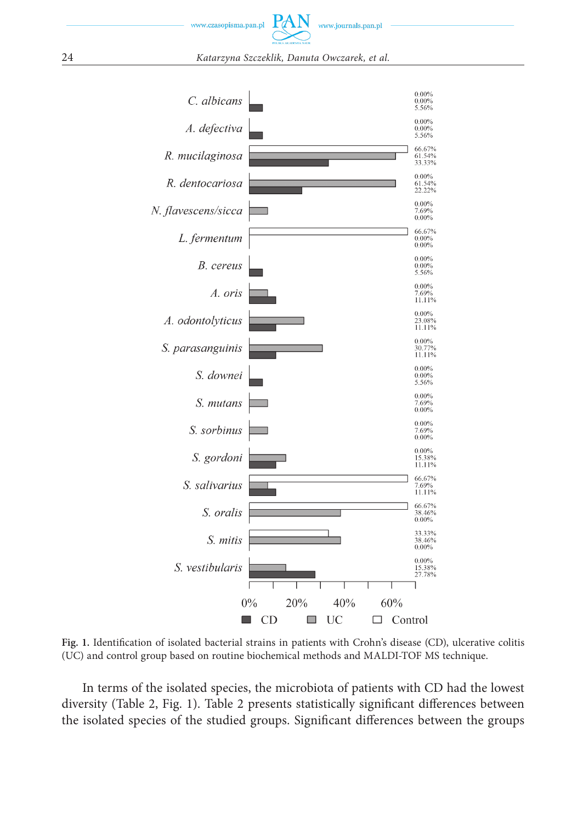

24 *Katarzyna Szczeklik, Danuta Owczarek, et al.*



Fig. 1. Identification of isolated bacterial strains in patients with Crohn's disease (CD), ulcerative colitis (UC) and control group based on routine biochemical methods and MALDI-TOF MS technique.

In terms of the isolated species, the microbiota of patients with CD had the lowest diversity (Table 2, Fig. 1). Table 2 presents statistically significant differences between the isolated species of the studied groups. Significant differences between the groups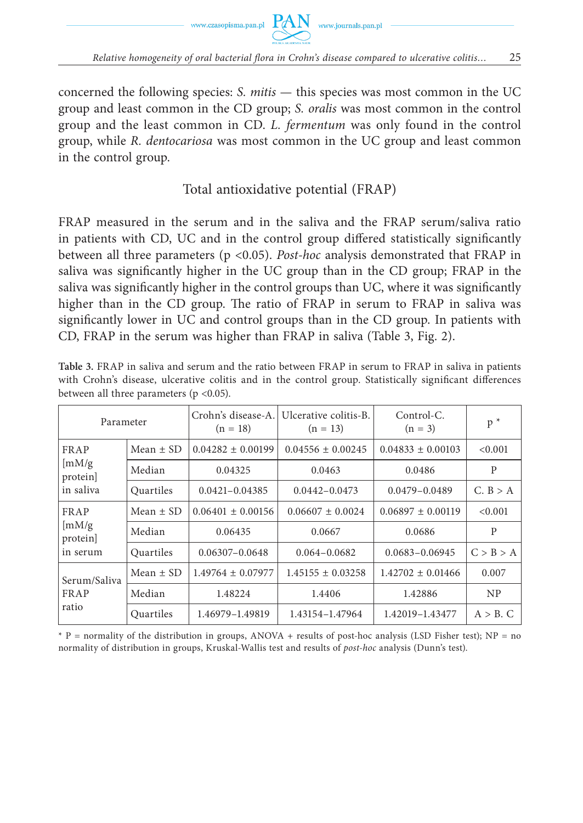



concerned the following species: *S. mitis* — this species was most common in the UC group and least common in the CD group; *S. oralis* was most common in the control group and the least common in CD. *L. fermentum* was only found in the control group, while *R. dentocariosa* was most common in the UC group and least common in the control group.

# Total antioxidative potential (FRAP)

FRAP measured in the serum and in the saliva and the FRAP serum/saliva ratio in patients with CD, UC and in the control group differed statistically significantly between all three parameters (p <0.05). *Post-hoc* analysis demonstrated that FRAP in saliva was significantly higher in the UC group than in the CD group; FRAP in the saliva was significantly higher in the control groups than UC, where it was significantly higher than in the CD group. The ratio of FRAP in serum to FRAP in saliva was significantly lower in UC and control groups than in the CD group. In patients with CD, FRAP in the serum was higher than FRAP in saliva (Table 3, Fig. 2).

| Parameter                                                   |               | Crohn's disease-A.<br>$(n = 18)$ | Ulcerative colitis-B.<br>$(n = 13)$ | Control-C.<br>$(n = 3)$ | $p^*$          |
|-------------------------------------------------------------|---------------|----------------------------------|-------------------------------------|-------------------------|----------------|
| FRAP<br>$\left[\text{mM/g}\right]$<br>protein]<br>in saliva | Mean $\pm$ SD | $0.04282 \pm 0.00199$            | $0.04556 \pm 0.00245$               | $0.04833 \pm 0.00103$   | < 0.001        |
|                                                             | Median        | 0.04325                          | 0.0463                              | 0.0486                  | P              |
|                                                             | Quartiles     | $0.0421 - 0.04385$               | $0.0442 - 0.0473$                   | $0.0479 - 0.0489$       | C. B > A       |
| FRAP<br>$\left[\text{mM/g}\right]$<br>protein]<br>in serum  | Mean $\pm$ SD | $0.06401 \pm 0.00156$            | $0.06607 \pm 0.0024$                | $0.06897 \pm 0.00119$   | < 0.001        |
|                                                             | Median        | 0.06435                          | 0.0667                              | 0.0686                  | P              |
|                                                             | Quartiles     | 0.06307-0.0648                   | $0.064 - 0.0682$                    | 0.0683-0.06945          | C > B > A      |
| Serum/Saliva<br>FRAP<br>ratio                               | Mean $\pm$ SD | $1.49764 \pm 0.07977$            | $1.45155 \pm 0.03258$               | $1.42702 \pm 0.01466$   | 0.007          |
|                                                             | Median        | 1.48224                          | 1.4406                              | 1.42886                 | N <sub>P</sub> |
|                                                             | Quartiles     | 1.46979-1.49819                  | 1.43154-1.47964                     | 1.42019-1.43477         | $A > B$ . C    |

**Table 3.** FRAP in saliva and serum and the ratio between FRAP in serum to FRAP in saliva in patients with Crohn's disease, ulcerative colitis and in the control group. Statistically significant differences between all three parameters (p <0.05).

 $*$  P = normality of the distribution in groups, ANOVA + results of post-hoc analysis (LSD Fisher test); NP = no normality of distribution in groups, Kruskal-Wallis test and results of *post-hoc* analysis (Dunn's test).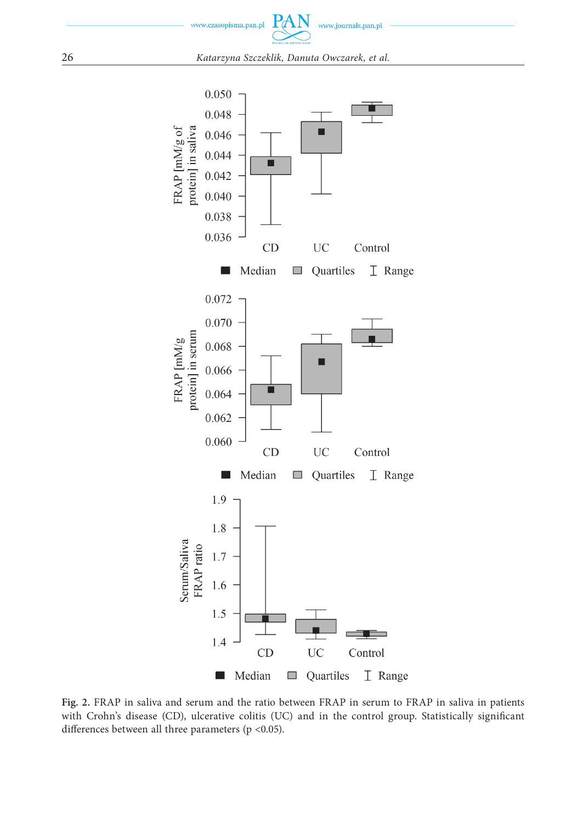

26 *Katarzyna Szczeklik, Danuta Owczarek, et al.*



**Fig. 2.** FRAP in saliva and serum and the ratio between FRAP in serum to FRAP in saliva in patients with Crohn's disease (CD), ulcerative colitis (UC) and in the control group. Statistically significant differences between all three parameters ( $p < 0.05$ ).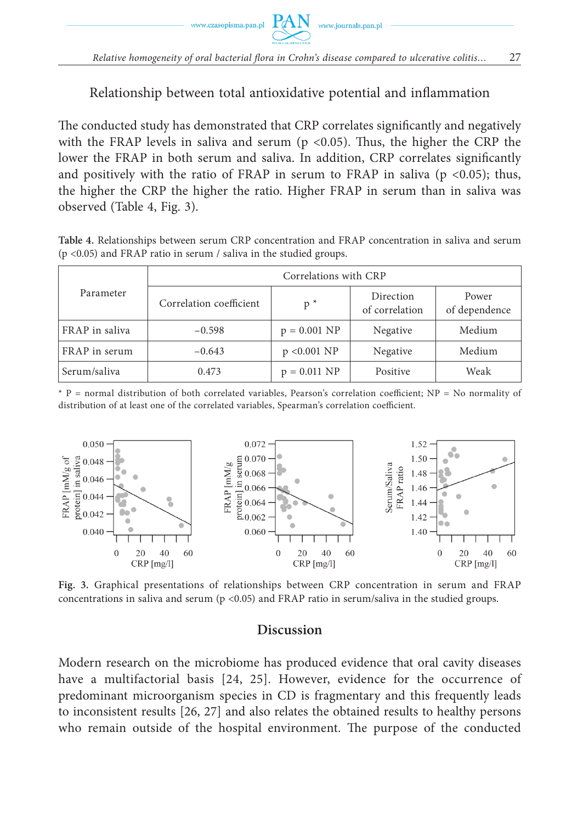# Relationship between total antioxidative potential and inflammation

The conducted study has demonstrated that CRP correlates significantly and negatively with the FRAP levels in saliva and serum ( $p < 0.05$ ). Thus, the higher the CRP the lower the FRAP in both serum and saliva. In addition, CRP correlates significantly and positively with the ratio of FRAP in serum to FRAP in saliva ( $p \le 0.05$ ); thus, the higher the CRP the higher the ratio. Higher FRAP in serum than in saliva was observed (Table 4, Fig. 3).

**Table 4.** Relationships between serum CRP concentration and FRAP concentration in saliva and serum (p <0.05) and FRAP ratio in serum / saliva in the studied groups.

|                | Correlations with CRP   |                        |                             |                        |  |
|----------------|-------------------------|------------------------|-----------------------------|------------------------|--|
| Parameter      | Correlation coefficient | $p^*$                  | Direction<br>of correlation | Power<br>of dependence |  |
| FRAP in saliva | $-0.598$                | $p = 0.001 \text{ NP}$ | Negative                    | Medium                 |  |
| FRAP in serum  | $-0.643$                | p < 0.001 NP           | Negative                    | Medium                 |  |
| Serum/saliva   | 0.473                   | $p = 0.011 \text{ NP}$ | Positive                    | Weak                   |  |

 $*$  P = normal distribution of both correlated variables, Pearson's correlation coefficient; NP = No normality of distribution of at least one of the correlated variables, Spearman's correlation coefficient.



**Fig. 3.** Graphical presentations of relationships between CRP concentration in serum and FRAP concentrations in saliva and serum ( $p$  <0.05) and FRAP ratio in serum/saliva in the studied groups.

#### **Discussion**

Modern research on the microbiome has produced evidence that oral cavity diseases have a multifactorial basis [24, 25]. However, evidence for the occurrence of predominant microorganism species in CD is fragmentary and this frequently leads to inconsistent results [26, 27] and also relates the obtained results to healthy persons who remain outside of the hospital environment. The purpose of the conducted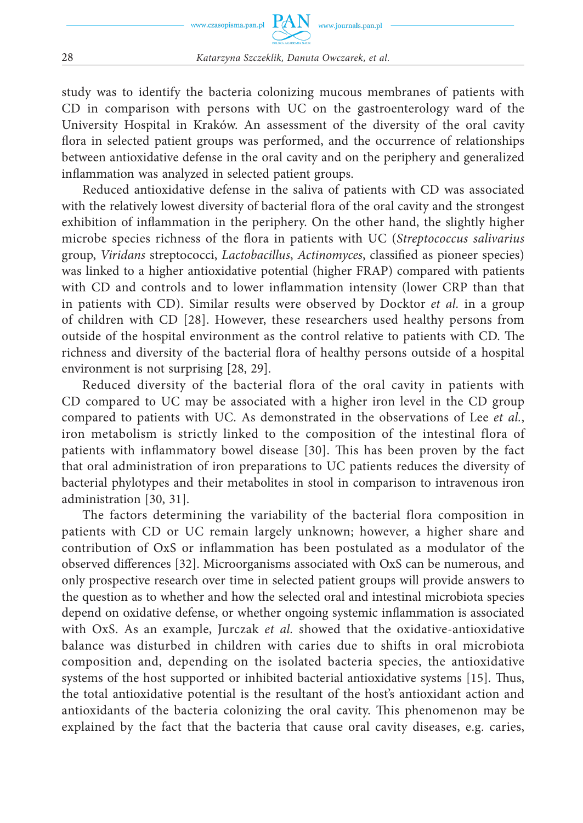study was to identify the bacteria colonizing mucous membranes of patients with CD in comparison with persons with UC on the gastroenterology ward of the University Hospital in Kraków. An assessment of the diversity of the oral cavity flora in selected patient groups was performed, and the occurrence of relationships between antioxidative defense in the oral cavity and on the periphery and generalized inflammation was analyzed in selected patient groups.

Reduced antioxidative defense in the saliva of patients with CD was associated with the relatively lowest diversity of bacterial flora of the oral cavity and the strongest exhibition of inflammation in the periphery. On the other hand, the slightly higher microbe species richness of the flora in patients with UC (Streptococcus salivarius group, Viridans streptococci, *Lactobacillus*, *Actinomyces*, classified as pioneer species) was linked to a higher antioxidative potential (higher FRAP) compared with patients with CD and controls and to lower inflammation intensity (lower CRP than that in patients with CD). Similar results were observed by Docktor *et al.* in a group of children with CD [28]. However, these researchers used healthy persons from outside of the hospital environment as the control relative to patients with CD. The richness and diversity of the bacterial flora of healthy persons outside of a hospital environment is not surprising [28, 29].

Reduced diversity of the bacterial flora of the oral cavity in patients with CD compared to UC may be associated with a higher iron level in the CD group compared to patients with UC. As demonstrated in the observations of Lee *et al.*, iron metabolism is strictly linked to the composition of the intestinal flora of patients with inflammatory bowel disease [30]. This has been proven by the fact that oral administration of iron preparations to UC patients reduces the diversity of bacterial phylotypes and their metabolites in stool in comparison to intravenous iron administration [30, 31].

The factors determining the variability of the bacterial flora composition in patients with CD or UC remain largely unknown; however, a higher share and contribution of OxS or inflammation has been postulated as a modulator of the observed differences [32]. Microorganisms associated with OxS can be numerous, and only prospective research over time in selected patient groups will provide answers to the question as to whether and how the selected oral and intestinal microbiota species depend on oxidative defense, or whether ongoing systemic inflammation is associated with OxS. As an example, Jurczak *et al.* showed that the oxidative-antioxidative balance was disturbed in children with caries due to shifts in oral microbiota composition and, depending on the isolated bacteria species, the antioxidative systems of the host supported or inhibited bacterial antioxidative systems [15]. Thus, the total antioxidative potential is the resultant of the host's antioxidant action and antioxidants of the bacteria colonizing the oral cavity. This phenomenon may be explained by the fact that the bacteria that cause oral cavity diseases, e.g. caries,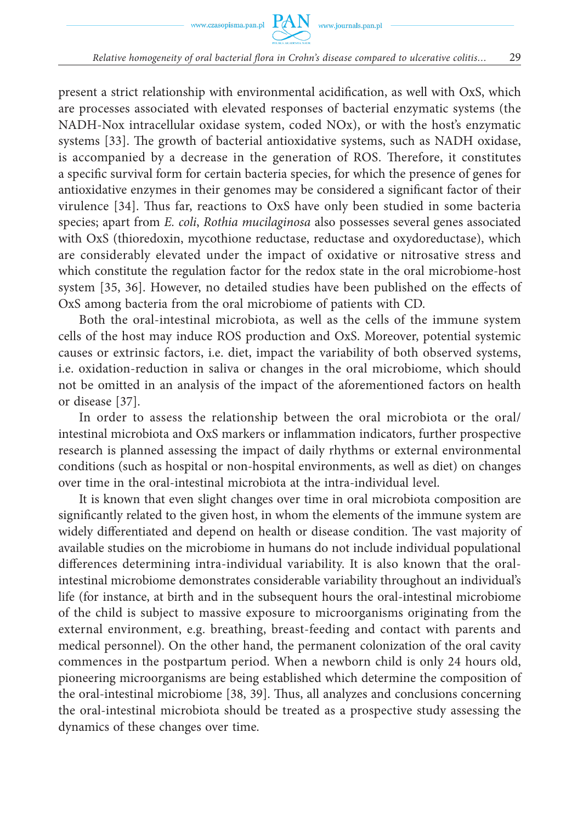present a strict relationship with environmental acidification, as well with OxS, which are processes associated with elevated responses of bacterial enzymatic systems (the NADH-Nox intracellular oxidase system, coded NOx), or with the host's enzymatic systems [33]. The growth of bacterial antioxidative systems, such as NADH oxidase, is accompanied by a decrease in the generation of ROS. Therefore, it constitutes a specific survival form for certain bacteria species, for which the presence of genes for antioxidative enzymes in their genomes may be considered a significant factor of their virulence [34]. Thus far, reactions to OxS have only been studied in some bacteria species; apart from *E. coli*, *Rothia mucilaginosa* also possesses several genes associated with OxS (thioredoxin, mycothione reductase, reductase and oxydoreductase), which are considerably elevated under the impact of oxidative or nitrosative stress and which constitute the regulation factor for the redox state in the oral microbiome-host system [35, 36]. However, no detailed studies have been published on the effects of OxS among bacteria from the oral microbiome of patients with CD.

Both the oral-intestinal microbiota, as well as the cells of the immune system cells of the host may induce ROS production and OxS. Moreover, potential systemic causes or extrinsic factors, i.e. diet, impact the variability of both observed systems, i.e. oxidation-reduction in saliva or changes in the oral microbiome, which should not be omitted in an analysis of the impact of the aforementioned factors on health or disease [37].

In order to assess the relationship between the oral microbiota or the oral/ intestinal microbiota and OxS markers or inflammation indicators, further prospective research is planned assessing the impact of daily rhythms or external environmental conditions (such as hospital or non-hospital environments, as well as diet) on changes over time in the oral-intestinal microbiota at the intra-individual level.

It is known that even slight changes over time in oral microbiota composition are significantly related to the given host, in whom the elements of the immune system are widely differentiated and depend on health or disease condition. The vast majority of available studies on the microbiome in humans do not include individual populational differences determining intra-individual variability. It is also known that the oralintestinal microbiome demonstrates considerable variability throughout an individual's life (for instance, at birth and in the subsequent hours the oral-intestinal microbiome of the child is subject to massive exposure to microorganisms originating from the external environment, e.g. breathing, breast-feeding and contact with parents and medical personnel). On the other hand, the permanent colonization of the oral cavity commences in the postpartum period. When a newborn child is only 24 hours old, pioneering microorganisms are being established which determine the composition of the oral-intestinal microbiome [38, 39]. Thus, all analyzes and conclusions concerning the oral-intestinal microbiota should be treated as a prospective study assessing the dynamics of these changes over time.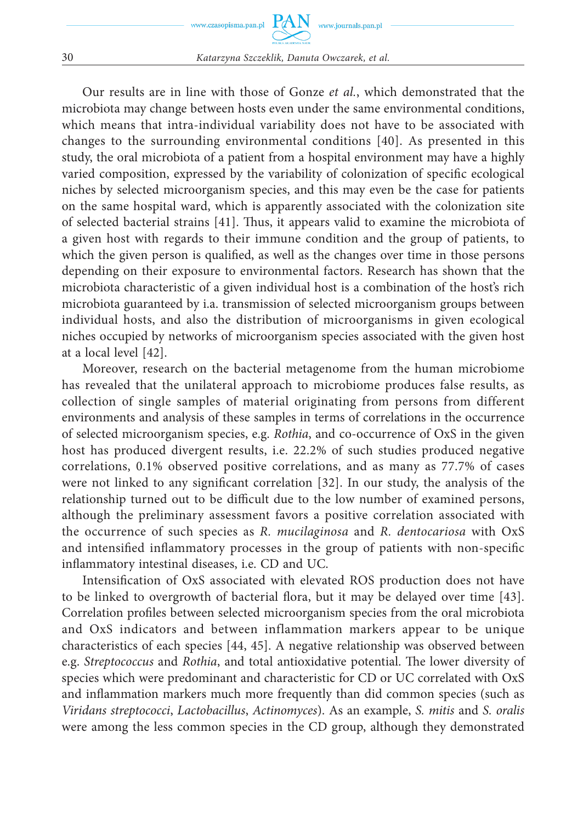Our results are in line with those of Gonze *et al.*, which demonstrated that the microbiota may change between hosts even under the same environmental conditions, which means that intra-individual variability does not have to be associated with changes to the surrounding environmental conditions [40]. As presented in this study, the oral microbiota of a patient from a hospital environment may have a highly varied composition, expressed by the variability of colonization of specific ecological niches by selected microorganism species, and this may even be the case for patients on the same hospital ward, which is apparently associated with the colonization site of selected bacterial strains [41]. Thus, it appears valid to examine the microbiota of a given host with regards to their immune condition and the group of patients, to which the given person is qualified, as well as the changes over time in those persons depending on their exposure to environmental factors. Research has shown that the microbiota characteristic of a given individual host is a combination of the host's rich microbiota guaranteed by i.a. transmission of selected microorganism groups between individual hosts, and also the distribution of microorganisms in given ecological niches occupied by networks of microorganism species associated with the given host at a local level [42].

Moreover, research on the bacterial metagenome from the human microbiome has revealed that the unilateral approach to microbiome produces false results, as collection of single samples of material originating from persons from different environments and analysis of these samples in terms of correlations in the occurrence of selected microorganism species, e.g. *Rothia*, and co-occurrence of OxS in the given host has produced divergent results, i.e. 22.2% of such studies produced negative correlations, 0.1% observed positive correlations, and as many as 77.7% of cases were not linked to any significant correlation  $[32]$ . In our study, the analysis of the relationship turned out to be difficult due to the low number of examined persons, although the preliminary assessment favors a positive correlation associated with the occurrence of such species as *R. mucilaginosa* and *R. dentocariosa* with OxS and intensified inflammatory processes in the group of patients with non-specific inflammatory intestinal diseases, i.e. CD and UC.

Intensification of OxS associated with elevated ROS production does not have to be linked to overgrowth of bacterial flora, but it may be delayed over time [43]. Correlation profiles between selected microorganism species from the oral microbiota and OxS indicators and between inflammation markers appear to be unique characteristics of each species [44, 45]. A negative relationship was observed between e.g. *Streptococcus* and *Rothia*, and total antioxidative potential. The lower diversity of species which were predominant and characteristic for CD or UC correlated with OxS and inflammation markers much more frequently than did common species (such as *Viridans streptococci*, *Lactobacillus*, *Actinomyces*). As an example, *S. mitis* and *S. oralis* were among the less common species in the CD group, although they demonstrated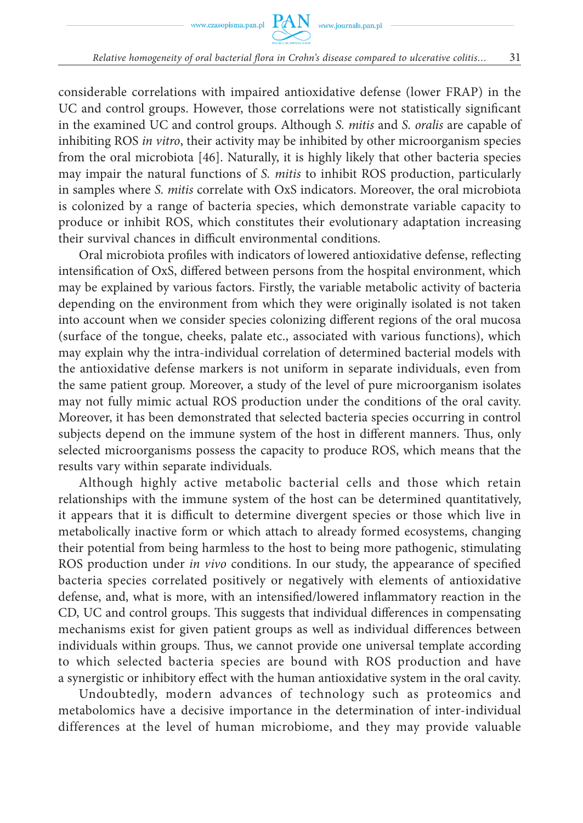considerable correlations with impaired antioxidative defense (lower FRAP) in the UC and control groups. However, those correlations were not statistically significant in the examined UC and control groups. Although *S. mitis* and *S. oralis* are capable of inhibiting ROS *in vitro*, their activity may be inhibited by other microorganism species from the oral microbiota [46]. Naturally, it is highly likely that other bacteria species may impair the natural functions of *S. mitis* to inhibit ROS production, particularly in samples where *S. mitis* correlate with OxS indicators. Moreover, the oral microbiota is colonized by a range of bacteria species, which demonstrate variable capacity to produce or inhibit ROS, which constitutes their evolutionary adaptation increasing their survival chances in difficult environmental conditions.

Oral microbiota profiles with indicators of lowered antioxidative defense, reflecting intensification of OxS, differed between persons from the hospital environment, which may be explained by various factors. Firstly, the variable metabolic activity of bacteria depending on the environment from which they were originally isolated is not taken into account when we consider species colonizing different regions of the oral mucosa (surface of the tongue, cheeks, palate etc., associated with various functions), which may explain why the intra-individual correlation of determined bacterial models with the antioxidative defense markers is not uniform in separate individuals, even from the same patient group. Moreover, a study of the level of pure microorganism isolates may not fully mimic actual ROS production under the conditions of the oral cavity. Moreover, it has been demonstrated that selected bacteria species occurring in control subjects depend on the immune system of the host in different manners. Thus, only selected microorganisms possess the capacity to produce ROS, which means that the results vary within separate individuals.

Although highly active metabolic bacterial cells and those which retain relationships with the immune system of the host can be determined quantitatively, it appears that it is difficult to determine divergent species or those which live in metabolically inactive form or which attach to already formed ecosystems, changing their potential from being harmless to the host to being more pathogenic, stimulating ROS production under *in vivo* conditions. In our study, the appearance of specified bacteria species correlated positively or negatively with elements of antioxidative defense, and, what is more, with an intensified/lowered inflammatory reaction in the CD, UC and control groups. This suggests that individual differences in compensating mechanisms exist for given patient groups as well as individual differences between individuals within groups. Thus, we cannot provide one universal template according to which selected bacteria species are bound with ROS production and have a synergistic or inhibitory effect with the human antioxidative system in the oral cavity.

Undoubtedly, modern advances of technology such as proteomics and metabolomics have a decisive importance in the determination of inter-individual differences at the level of human microbiome, and they may provide valuable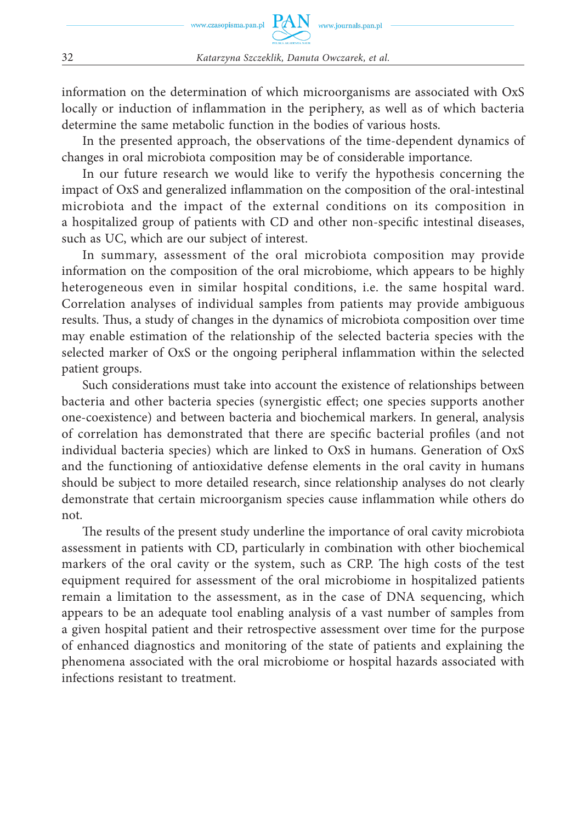information on the determination of which microorganisms are associated with OxS locally or induction of inflammation in the periphery, as well as of which bacteria determine the same metabolic function in the bodies of various hosts.

In the presented approach, the observations of the time-dependent dynamics of changes in oral microbiota composition may be of considerable importance.

In our future research we would like to verify the hypothesis concerning the impact of OxS and generalized inflammation on the composition of the oral-intestinal microbiota and the impact of the external conditions on its composition in a hospitalized group of patients with CD and other non-specific intestinal diseases, such as UC, which are our subject of interest.

In summary, assessment of the oral microbiota composition may provide information on the composition of the oral microbiome, which appears to be highly heterogeneous even in similar hospital conditions, i.e. the same hospital ward. Correlation analyses of individual samples from patients may provide ambiguous results. Thus, a study of changes in the dynamics of microbiota composition over time may enable estimation of the relationship of the selected bacteria species with the selected marker of OxS or the ongoing peripheral inflammation within the selected patient groups.

Such considerations must take into account the existence of relationships between bacteria and other bacteria species (synergistic effect; one species supports another one-coexistence) and between bacteria and biochemical markers. In general, analysis of correlation has demonstrated that there are specific bacterial profiles (and not individual bacteria species) which are linked to OxS in humans. Generation of OxS and the functioning of antioxidative defense elements in the oral cavity in humans should be subject to more detailed research, since relationship analyses do not clearly demonstrate that certain microorganism species cause inflammation while others do not.

The results of the present study underline the importance of oral cavity microbiota assessment in patients with CD, particularly in combination with other biochemical markers of the oral cavity or the system, such as CRP. The high costs of the test equipment required for assessment of the oral microbiome in hospitalized patients remain a limitation to the assessment, as in the case of DNA sequencing, which appears to be an adequate tool enabling analysis of a vast number of samples from a given hospital patient and their retrospective assessment over time for the purpose of enhanced diagnostics and monitoring of the state of patients and explaining the phenomena associated with the oral microbiome or hospital hazards associated with infections resistant to treatment.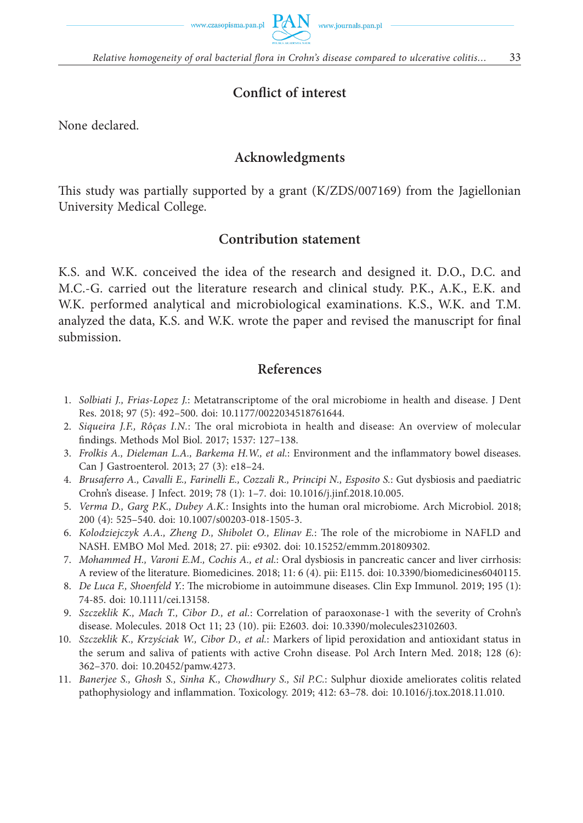



*Relative homogeneity of oral bacterial flora in Crohn's disease compared to ulcerative colitis...* 33

# **Conflict of interest**

None declared.

# **Acknowledgments**

This study was partially supported by a grant  $(K/ZDS/007169)$  from the Jagiellonian University Medical College.

# **Contribution statement**

K.S. and W.K. conceived the idea of the research and designed it. D.O., D.C. and M.C.-G. carried out the literature research and clinical study. P.K., A.K., E.K. and W.K. performed analytical and microbiological examinations. K.S., W.K. and T.M. analyzed the data, K.S. and W.K. wrote the paper and revised the manuscript for final submission.

# **References**

- 1. *Solbiati J., Frias-Lopez J.*: Metatranscriptome of the oral microbiome in health and disease. J Dent Res. 2018; 97 (5): 492–500. doi: 10.1177/0022034518761644.
- 2. *Siqueira J.F., Rôças I.N.*: The oral microbiota in health and disease: An overview of molecular findings. Methods Mol Biol. 2017; 1537: 127-138.
- 3. *Frolkis A., Dieleman L.A., Barkema H.W., et al.*: Environment and the inflammatory bowel diseases. Can J Gastroenterol. 2013; 27 (3): e18–24.
- 4. *Brusaferro A., Cavalli E., Farinelli E., Cozzali R., Principi N., Esposito S.*: Gut dysbiosis and paediatric Crohn's disease. J Infect. 2019; 78 (1): 1–7. doi: 10.1016/j.jinf.2018.10.005.
- 5. *Verma D., Garg P.K., Dubey A.K.*: Insights into the human oral microbiome. Arch Microbiol. 2018; 200 (4): 525–540. doi: 10.1007/s00203-018-1505-3.
- 6. *Kolodziejczyk A.A., Zheng D., Shibolet O., Elinav E.*: The role of the microbiome in NAFLD and NASH. EMBO Mol Med. 2018; 27. pii: e9302. doi: 10.15252/emmm.201809302.
- 7. *Mohammed H., Varoni E.M., Cochis A., et al.*: Oral dysbiosis in pancreatic cancer and liver cirrhosis: A review of the literature. Biomedicines. 2018; 11: 6 (4). pii: E115. doi: 10.3390/biomedicines6040115.
- 8. *De Luca F., Shoenfeld Y.*: The microbiome in autoimmune diseases. Clin Exp Immunol. 2019; 195 (1): 74-85. doi: 10.1111/cei.13158.
- 9. *Szczeklik K., Mach T., Cibor D., et al.*: Correlation of paraoxonase-1 with the severity of Crohn's disease. Molecules. 2018 Oct 11; 23 (10). pii: E2603. doi: 10.3390/molecules23102603.
- 10. *Szczeklik K., Krzyściak W., Cibor D., et al.*: Markers of lipid peroxidation and antioxidant status in the serum and saliva of patients with active Crohn disease. Pol Arch Intern Med. 2018; 128 (6): 362–370. doi: 10.20452/pamw.4273.
- 11. *Banerjee S., Ghosh S., Sinha K., Chowdhury S., Sil P.C.*: Sulphur dioxide ameliorates colitis related pathophysiology and inflammation. Toxicology. 2019; 412: 63-78. doi: 10.1016/j.tox.2018.11.010.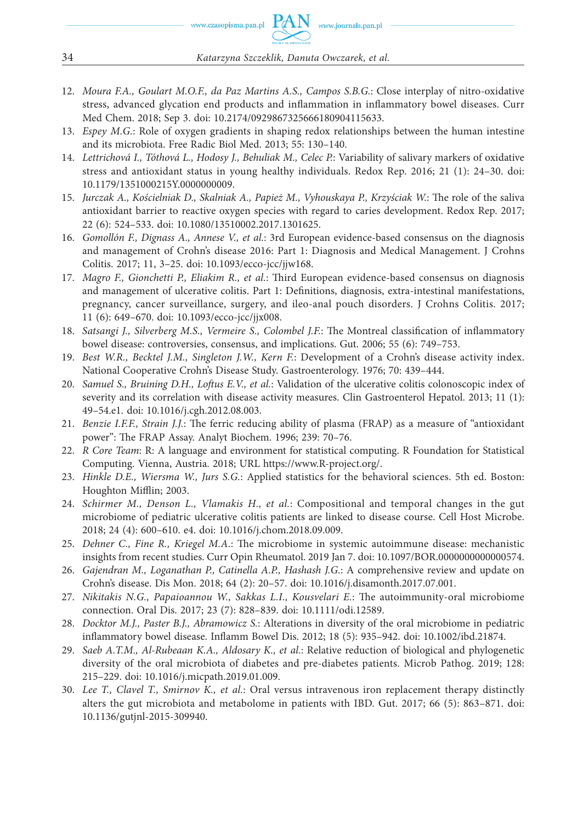- 12. *Moura F.A., Goulart M.O.F., da Paz Martins A.S., Campos S.B.G.*: Close interplay of nitro-oxidative stress, advanced glycation end products and inflammation in inflammatory bowel diseases. Curr Med Chem. 2018; Sep 3. doi: 10.2174/0929867325666180904115633.
- 13. *Espey M.G.*: Role of oxygen gradients in shaping redox relationships between the human intestine and its microbiota. Free Radic Biol Med. 2013; 55: 130–140.
- 14. *Lettrichová I., Tóthová L., Hodosy J., Behuliak M., Celec P.*: Variability of salivary markers of oxidative stress and antioxidant status in young healthy individuals. Redox Rep. 2016; 21 (1): 24–30. doi: 10.1179/1351000215Y.0000000009.
- 15. *Jurczak A., Kościelniak D., Skalniak A., Papież M., Vyhouskaya P., Krzyściak W.*: The role of the saliva antioxidant barrier to reactive oxygen species with regard to caries development. Redox Rep. 2017; 22 (6): 524–533. doi: 10.1080/13510002.2017.1301625.
- 16. *Gomollón F., Dignass A., Annese V., et al.*: 3rd European evidence-based consensus on the diagnosis and management of Crohn's disease 2016: Part 1: Diagnosis and Medical Management. J Crohns Colitis. 2017; 11, 3–25. doi: 10.1093/ecco-jcc/jjw168.
- 17. *Magro F., Gionchetti P., Eliakim R., et al.*: Third European evidence-based consensus on diagnosis and management of ulcerative colitis. Part 1: Definitions, diagnosis, extra-intestinal manifestations, pregnancy, cancer surveillance, surgery, and ileo-anal pouch disorders. J Crohns Colitis. 2017; 11 (6): 649–670. doi: 10.1093/ecco-jcc/jjx008.
- 18. *Satsangi J., Silverberg M.S., Vermeire S., Colombel J.F.*: The Montreal classification of inflammatory bowel disease: controversies, consensus, and implications. Gut. 2006; 55 (6): 749–753.
- 19. *Best W.R., Becktel J.M., Singleton J.W., Kern F.*: Development of a Crohn's disease activity index. National Cooperative Crohn's Disease Study. Gastroenterology. 1976; 70: 439–444.
- 20. Samuel S., Bruining D.H., Loftus E.V., et al.: Validation of the ulcerative colitis colonoscopic index of severity and its correlation with disease activity measures. Clin Gastroenterol Hepatol. 2013; 11 (1): 49–54.e1. doi: 10.1016/j.cgh.2012.08.003.
- 21. *Benzie I.F.F., Strain J.J.*: The ferric reducing ability of plasma (FRAP) as a measure of "antioxidant power": The FRAP Assay. Analyt Biochem. 1996; 239: 70-76.
- 22. *R Core Team*: R: A language and environment for statistical computing. R Foundation for Statistical Computing. Vienna, Austria. 2018; URL https://www.R-project.org/.
- 23. *Hinkle D.E., Wiersma W., Jurs S.G.*: Applied statistics for the behavioral sciences. 5th ed. Boston: Houghton Mifflin; 2003.
- 24. *Schirmer M., Denson L., Vlamakis H., et al.*: Compositional and temporal changes in the gut microbiome of pediatric ulcerative colitis patients are linked to disease course. Cell Host Microbe. 2018; 24 (4): 600–610. e4. doi: 10.1016/j.chom.2018.09.009.
- 25. *Dehner C., Fine R., Kriegel M.A.*: The microbiome in systemic autoimmune disease: mechanistic insights from recent studies. Curr Opin Rheumatol. 2019 Jan 7. doi: 10.1097/BOR.0000000000000574.
- 26. *Gajendran M., Loganathan P., Catinella A.P., Hashash J.G.*: A comprehensive review and update on Crohn's disease. Dis Mon. 2018; 64 (2): 20–57. doi: 10.1016/j.disamonth.2017.07.001.
- 27. Nikitakis N.G., Papaioannou W., Sakkas L.I., Kousvelari E.: The autoimmunity-oral microbiome connection. Oral Dis. 2017; 23 (7): 828–839. doi: 10.1111/odi.12589.
- 28. *Docktor M.J., Paster B.J., Abramowicz S.*: Alterations in diversity of the oral microbiome in pediatric inflammatory bowel disease. Inflamm Bowel Dis. 2012; 18 (5): 935-942. doi: 10.1002/ibd.21874.
- 29. *Saeb A.T.M., Al-Rubeaan K.A., Aldosary K., et al.*: Relative reduction of biological and phylogenetic diversity of the oral microbiota of diabetes and pre-diabetes patients. Microb Pathog. 2019; 128: 215–229. doi: 10.1016/j.micpath.2019.01.009.
- 30. *Lee T., Clavel T., Smirnov K., et al.*: Oral versus intravenous iron replacement therapy distinctly alters the gut microbiota and metabolome in patients with IBD. Gut. 2017; 66 (5): 863–871. doi: 10.1136/gutjnl-2015-309940.